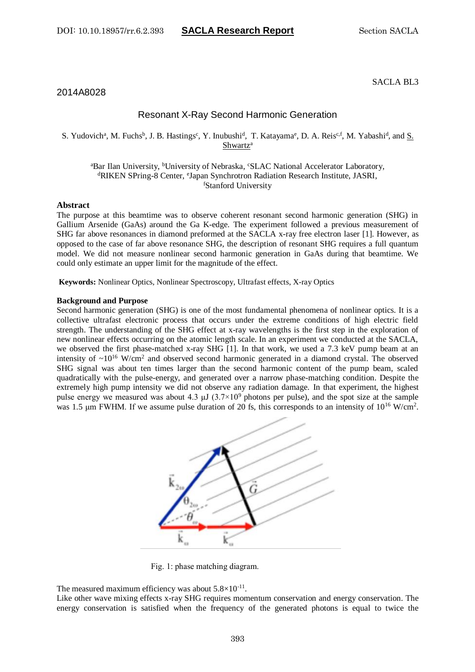# 2014A8028

# Resonant X-Ray Second Harmonic Generation

## S. Yudovich<sup>a</sup>, M. Fuchs<sup>b</sup>, J. B. Hastings<sup>c</sup>, Y. Inubushi<sup>d</sup>, T. Katayama<sup>e</sup>, D. A. Reis<sup>c,f</sup>, M. Yabashi<sup>d</sup>, and <u>S.</u> Shwartz<sup>a</sup>

## <sup>a</sup>Bar Ilan University, <sup>b</sup>University of Nebraska, CSLAC National Accelerator Laboratory, dRIKEN SPring-8 Center, <sup>e</sup>Japan Synchrotron Radiation Research Institute, JASRI, <sup>f</sup>Stanford University

### **Abstract**

The purpose at this beamtime was to observe coherent resonant second harmonic generation (SHG) in Gallium Arsenide (GaAs) around the Ga K-edge. The experiment followed a previous measurement of SHG far above resonances in diamond preformed at the SACLA x-ray free electron laser [1]. However, as opposed to the case of far above resonance SHG, the description of resonant SHG requires a full quantum model. We did not measure nonlinear second harmonic generation in GaAs during that beamtime. We could only estimate an upper limit for the magnitude of the effect.

**Keywords:** Nonlinear Optics, Nonlinear Spectroscopy, Ultrafast effects, X-ray Optics

### **Background and Purpose**

Second harmonic generation (SHG) is one of the most fundamental phenomena of nonlinear optics. It is a collective ultrafast electronic process that occurs under the extreme conditions of high electric field strength. The understanding of the SHG effect at x-ray wavelengths is the first step in the exploration of new nonlinear effects occurring on the atomic length scale. In an experiment we conducted at the SACLA, we observed the first phase-matched x-ray SHG [1]. In that work, we used a 7.3 keV pump beam at an intensity of  $\sim 10^{16}$  W/cm<sup>2</sup> and observed second harmonic generated in a diamond crystal. The observed SHG signal was about ten times larger than the second harmonic content of the pump beam, scaled quadratically with the pulse-energy, and generated over a narrow phase-matching condition. Despite the extremely high pump intensity we did not observe any radiation damage. In that experiment, the highest pulse energy we measured was about 4.3  $\mu$ J (3.7×10<sup>9</sup> photons per pulse), and the spot size at the sample was 1.5  $\mu$ m FWHM. If we assume pulse duration of 20 fs, this corresponds to an intensity of 10<sup>16</sup> W/cm<sup>2</sup>.



Fig. 1: phase matching diagram.

The measured maximum efficiency was about  $5.8 \times 10^{-11}$ .

Like other wave mixing effects x-ray SHG requires momentum conservation and energy conservation. The energy conservation is satisfied when the frequency of the generated photons is equal to twice the

## SACLA BL3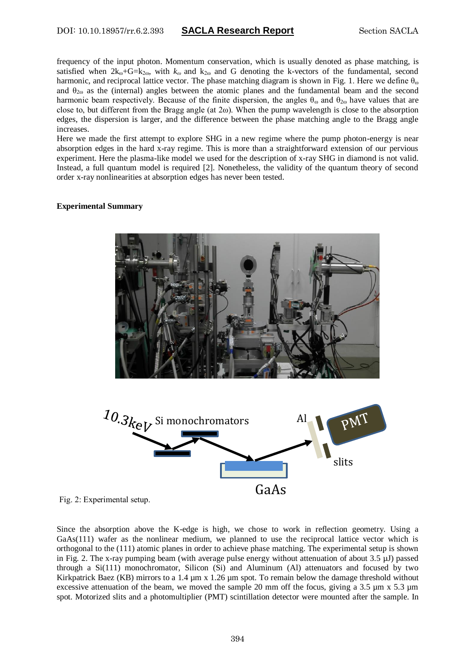frequency of the input photon. Momentum conservation, which is usually denoted as phase matching, is satisfied when  $2k_{\omega}+G=k_{2\omega}$ , with  $k_{\omega}$  and  $k_{2\omega}$  and G denoting the k-vectors of the fundamental, second harmonic, and reciprocal lattice vector. The phase matching diagram is shown in Fig. 1. Here we define  $\theta_{\omega}$ and  $\theta_{2\omega}$  as the (internal) angles between the atomic planes and the fundamental beam and the second harmonic beam respectively. Because of the finite dispersion, the angles  $\theta_{\omega}$  and  $\theta_{2\omega}$  have values that are close to, but different from the Bragg angle (at  $2\omega$ ). When the pump wavelength is close to the absorption edges, the dispersion is larger, and the difference between the phase matching angle to the Bragg angle increases.

Here we made the first attempt to explore SHG in a new regime where the pump photon-energy is near absorption edges in the hard x-ray regime. This is more than a straightforward extension of our pervious experiment. Here the plasma-like model we used for the description of x-ray SHG in diamond is not valid. Instead, a full quantum model is required [2]. Nonetheless, the validity of the quantum theory of second order x-ray nonlinearities at absorption edges has never been tested.

## **Experimental Summary**



Fig. 2: Experimental setup.

Since the absorption above the K-edge is high, we chose to work in reflection geometry. Using a GaAs(111) wafer as the nonlinear medium, we planned to use the reciprocal lattice vector which is orthogonal to the (111) atomic planes in order to achieve phase matching. The experimental setup is shown in Fig. 2. The x-ray pumping beam (with average pulse energy without attenuation of about  $3.5 \mu$ J) passed through a Si(111) monochromator, Silicon (Si) and Aluminum (Al) attenuators and focused by two Kirkpatrick Baez (KB) mirrors to a 1.4  $\mu$ m x 1.26  $\mu$ m spot. To remain below the damage threshold without excessive attenuation of the beam, we moved the sample 20 mm off the focus, giving a 3.5  $\mu$ m x 5.3  $\mu$ m spot. Motorized slits and a photomultiplier (PMT) scintillation detector were mounted after the sample. In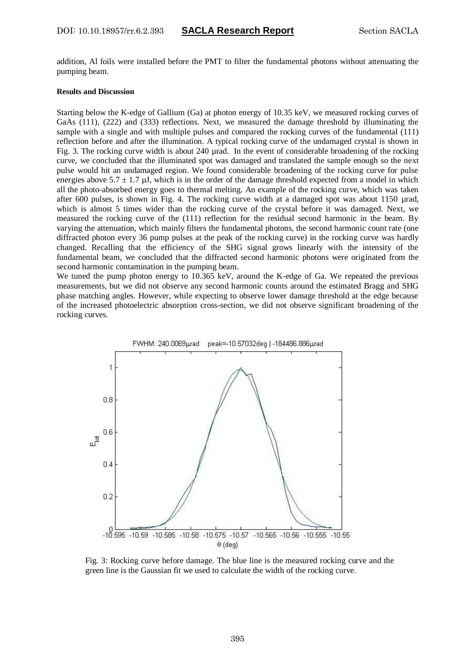addition, Al foils were installed before the PMT to filter the fundamental photons without attenuating the pumping beam.

### **Results and Discussion**

Starting below the K-edge of Gallium (Ga) at photon energy of 10.35 keV, we measured rocking curves of GaAs (111), (222) and (333) reflections. Next, we measured the damage threshold by illuminating the sample with a single and with multiple pulses and compared the rocking curves of the fundamental (111) reflection before and after the illumination. A typical rocking curve of the undamaged crystal is shown in Fig. 3. The rocking curve width is about 240 µrad. In the event of considerable broadening of the rocking curve, we concluded that the illuminated spot was damaged and translated the sample enough so the next pulse would hit an undamaged region. We found considerable broadening of the rocking curve for pulse energies above  $5.7 \pm 1.7$  µJ, which is in the order of the damage threshold expected from a model in which all the photo-absorbed energy goes to thermal melting. An example of the rocking curve, which was taken after 600 pulses, is shown in Fig. 4. The rocking curve width at a damaged spot was about 1150 µrad, which is almost 5 times wider than the rocking curve of the crystal before it was damaged. Next, we measured the rocking curve of the (111) reflection for the residual second harmonic in the beam. By varying the attenuation, which mainly filters the fundamental photons, the second harmonic count rate (one diffracted photon every 36 pump pulses at the peak of the rocking curve) in the rocking curve was hardly changed. Recalling that the efficiency of the SHG signal grows linearly with the intensity of the fundamental beam, we concluded that the diffracted second harmonic photons were originated from the second harmonic contamination in the pumping beam.

We tuned the pump photon energy to 10.365 keV, around the K-edge of Ga. We repeated the previous measurements, but we did not observe any second harmonic counts around the estimated Bragg and SHG phase matching angles. However, while expecting to observe lower damage threshold at the edge because of the increased photoelectric absorption cross-section, we did not observe significant broadening of the rocking curves.



Fig. 3: Rocking curve before damage. The blue line is the measured rocking curve and the green line is the Gaussian fit we used to calculate the width of the rocking curve.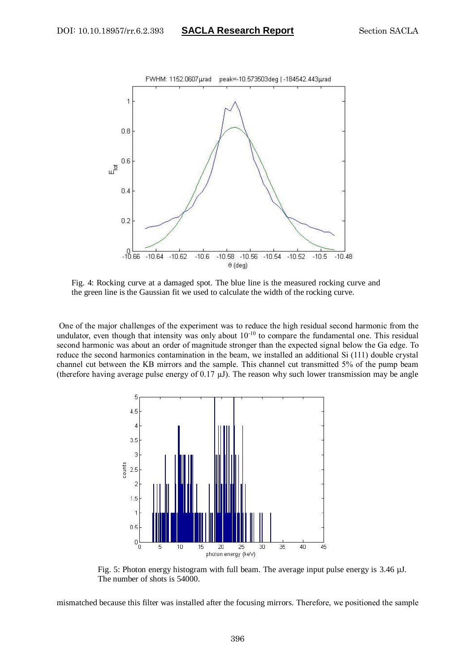

Fig. 4: Rocking curve at a damaged spot. The blue line is the measured rocking curve and the green line is the Gaussian fit we used to calculate the width of the rocking curve.

One of the major challenges of the experiment was to reduce the high residual second harmonic from the undulator, even though that intensity was only about  $10^{-10}$  to compare the fundamental one. This residual second harmonic was about an order of magnitude stronger than the expected signal below the Ga edge. To reduce the second harmonics contamination in the beam, we installed an additional Si (111) double crystal channel cut between the KB mirrors and the sample. This channel cut transmitted 5% of the pump beam (therefore having average pulse energy of 0.17  $\mu$ J). The reason why such lower transmission may be angle



Fig. 5: Photon energy histogram with full beam. The average input pulse energy is 3.46  $\mu$ J. The number of shots is 54000.

mismatched because this filter was installed after the focusing mirrors. Therefore, we positioned the sample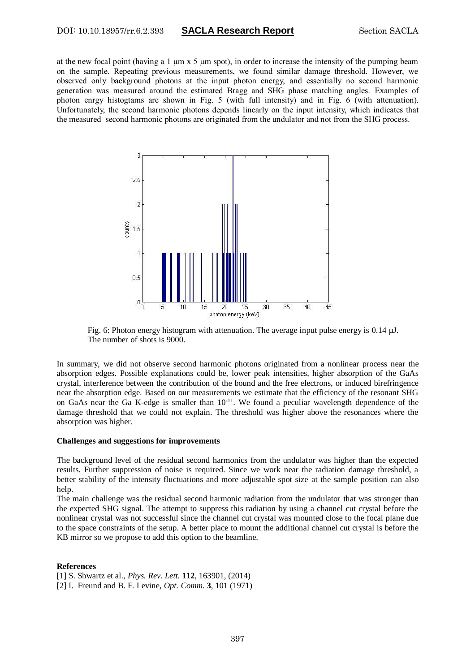at the new focal point (having a 1 µm x 5 µm spot), in order to increase the intensity of the pumping beam on the sample. Repeating previous measurements, we found similar damage threshold. However, we observed only background photons at the input photon energy, and essentially no second harmonic generation was measured around the estimated Bragg and SHG phase matching angles. Examples of photon enrgy histogtams are shown in Fig. 5 (with full intensity) and in Fig. 6 (with attenuation). Unfortunately, the second harmonic photons depends linearly on the input intensity, which indicates that the measured second harmonic photons are originated from the undulator and not from the SHG process.



Fig. 6: Photon energy histogram with attenuation. The average input pulse energy is 0.14 µJ. The number of shots is 9000.

In summary, we did not observe second harmonic photons originated from a nonlinear process near the absorption edges. Possible explanations could be, lower peak intensities, higher absorption of the GaAs crystal, interference between the contribution of the bound and the free electrons, or induced birefringence near the absorption edge. Based on our measurements we estimate that the efficiency of the resonant SHG on GaAs near the Ga K-edge is smaller than  $10^{-11}$ . We found a peculiar wavelength dependence of the damage threshold that we could not explain. The threshold was higher above the resonances where the absorption was higher.

#### **Challenges and suggestions for improvements**

The background level of the residual second harmonics from the undulator was higher than the expected results. Further suppression of noise is required. Since we work near the radiation damage threshold, a better stability of the intensity fluctuations and more adjustable spot size at the sample position can also help.

The main challenge was the residual second harmonic radiation from the undulator that was stronger than the expected SHG signal. The attempt to suppress this radiation by using a channel cut crystal before the nonlinear crystal was not successful since the channel cut crystal was mounted close to the focal plane due to the space constraints of the setup. A better place to mount the additional channel cut crystal is before the KB mirror so we propose to add this option to the beamline.

#### **References**

[1] S. Shwartz et al., *Phys. Rev. Lett.* **112**, 163901, (2014)

[2] I. Freund and B. F. Levine, *Opt. Comm.* **3**, 101 (1971)